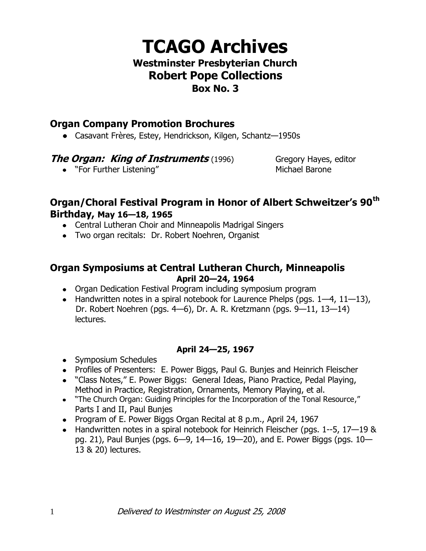# **TCAGO Archives**

## **Westminster Presbyterian Church Robert Pope Collections Box No. 3**

# **Organ Company Promotion Brochures**

Casavant Frères, Estey, Hendrickson, Kilgen, Schantz—1950s

## **The Organ: King of Instruments** (1996) Gregory Hayes, editor

• "For Further Listening" and the matter of Michael Barone

# **Organ/Choral Festival Program in Honor of Albert Schweitzer's 90th Birthday, May 16—18, 1965**

- Central Lutheran Choir and Minneapolis Madrigal Singers
- Two organ recitals: Dr. Robert Noehren, Organist

## **Organ Symposiums at Central Lutheran Church, Minneapolis April 20—24, 1964**

- Organ Dedication Festival Program including symposium program
- $\bullet$  Handwritten notes in a spiral notebook for Laurence Phelps (pgs.  $1-4$ ,  $11-13$ ), Dr. Robert Noehren (pgs. 4—6), Dr. A. R. Kretzmann (pgs. 9—11, 13—14) lectures.

## **April 24—25, 1967**

- Symposium Schedules
- Profiles of Presenters: E. Power Biggs, Paul G. Bunjes and Heinrich Fleischer
- "Class Notes," E. Power Biggs: General Ideas, Piano Practice, Pedal Playing, Method in Practice, Registration, Ornaments, Memory Playing, et al.
- "The Church Organ: Guiding Principles for the Incorporation of the Tonal Resource," Parts I and II, Paul Bunjes
- Program of E. Power Biggs Organ Recital at 8 p.m., April 24, 1967
- Handwritten notes in a spiral notebook for Heinrich Fleischer (pgs. 1--5, 17-19 & pg. 21), Paul Bunjes (pgs. 6—9, 14—16, 19—20), and E. Power Biggs (pgs. 10— 13 & 20) lectures.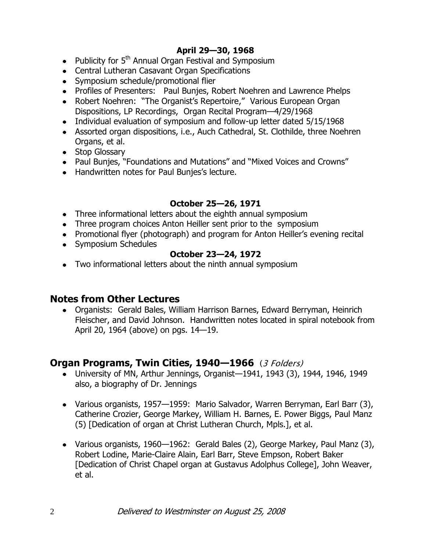## **April 29—30, 1968**

- Publicity for 5<sup>th</sup> Annual Organ Festival and Symposium
- Central Lutheran Casavant Organ Specifications
- Symposium schedule/promotional flier
- Profiles of Presenters: Paul Bunjes, Robert Noehren and Lawrence Phelps
- Robert Noehren: "The Organist's Repertoire," Various European Organ Dispositions, LP Recordings, Organ Recital Program—4/29/1968
- Individual evaluation of symposium and follow-up letter dated 5/15/1968
- Assorted organ dispositions, i.e., Auch Cathedral, St. Clothilde, three Noehren Organs, et al.
- Stop Glossary
- Paul Bunjes, "Foundations and Mutations" and "Mixed Voices and Crowns"
- Handwritten notes for Paul Bunjes's lecture.

#### **October 25—26, 1971**

- Three informational letters about the eighth annual symposium
- Three program choices Anton Heiller sent prior to the symposium
- Promotional flyer (photograph) and program for Anton Heiller's evening recital
- Symposium Schedules

#### **October 23—24, 1972**

Two informational letters about the ninth annual symposium

#### **Notes from Other Lectures**

Organists: Gerald Bales, William Harrison Barnes, Edward Berryman, Heinrich Fleischer, and David Johnson. Handwritten notes located in spiral notebook from April 20, 1964 (above) on pgs. 14—19.

## **Organ Programs, Twin Cities, 1940—1966** (3 Folders)

- University of MN, Arthur Jennings, Organist—1941, 1943 (3), 1944, 1946, 1949 also, a biography of Dr. Jennings
- Various organists, 1957—1959: Mario Salvador, Warren Berryman, Earl Barr (3), Catherine Crozier, George Markey, William H. Barnes, E. Power Biggs, Paul Manz (5) [Dedication of organ at Christ Lutheran Church, Mpls.], et al.
- Various organists, 1960—1962: Gerald Bales (2), George Markey, Paul Manz (3), Robert Lodine, Marie-Claire Alain, Earl Barr, Steve Empson, Robert Baker [Dedication of Christ Chapel organ at Gustavus Adolphus College], John Weaver, et al.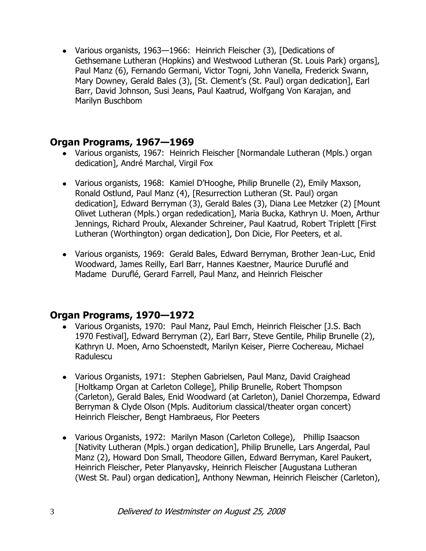Various organists, 1963—1966: Heinrich Fleischer (3), [Dedications of Gethsemane Lutheran (Hopkins) and Westwood Lutheran (St. Louis Park) organs], Paul Manz (6), Fernando Germani, Victor Togni, John Vanella, Frederick Swann, Mary Downey, Gerald Bales (3), [St. Clement's (St. Paul) organ dedication], Earl Barr, David Johnson, Susi Jeans, Paul Kaatrud, Wolfgang Von Karajan, and Marilyn Buschbom

## **Organ Programs, 1967—1969**

- Various organists, 1967: Heinrich Fleischer [Normandale Lutheran (Mpls.) organ dedication], André Marchal, Virgil Fox
- Various organists, 1968: Kamiel D'Hooghe, Philip Brunelle (2), Emily Maxson, Ronald Ostlund, Paul Manz (4), [Resurrection Lutheran (St. Paul) organ dedication], Edward Berryman (3), Gerald Bales (3), Diana Lee Metzker (2) [Mount Olivet Lutheran (Mpls.) organ rededication], Maria Bucka, Kathryn U. Moen, Arthur Jennings, Richard Proulx, Alexander Schreiner, Paul Kaatrud, Robert Triplett [First Lutheran (Worthington) organ dedication], Don Dicie, Flor Peeters, et al.
- Various organists, 1969: Gerald Bales, Edward Berryman, Brother Jean-Luc, Enid Woodward, James Reilly, Earl Barr, Hannes Kaestner, Maurice Duruflé and Madame Duruflé, Gerard Farrell, Paul Manz, and Heinrich Fleischer

# **Organ Programs, 1970—1972**

- Various Organists, 1970: Paul Manz, Paul Emch, Heinrich Fleischer [J.S. Bach 1970 Festival], Edward Berryman (2), Earl Barr, Steve Gentile, Philip Brunelle (2), Kathryn U. Moen, Arno Schoenstedt, Marilyn Keiser, Pierre Cochereau, Michael Radulescu
- Various Organists, 1971: Stephen Gabrielsen, Paul Manz, David Craighead [Holtkamp Organ at Carleton College], Philip Brunelle, Robert Thompson (Carleton), Gerald Bales, Enid Woodward (at Carleton), Daniel Chorzempa, Edward Berryman & Clyde Olson (Mpls. Auditorium classical/theater organ concert) Heinrich Fleischer, Bengt Hambraeus, Flor Peeters
- Various Organists, 1972: Marilyn Mason (Carleton College), Phillip Isaacson [Nativity Lutheran (Mpls.) organ dedication], Philip Brunelle, Lars Angerdal, Paul Manz (2), Howard Don Small, Theodore Gillen, Edward Berryman, Karel Paukert, Heinrich Fleischer, Peter Planyavsky, Heinrich Fleischer [Augustana Lutheran (West St. Paul) organ dedication], Anthony Newman, Heinrich Fleischer (Carleton),